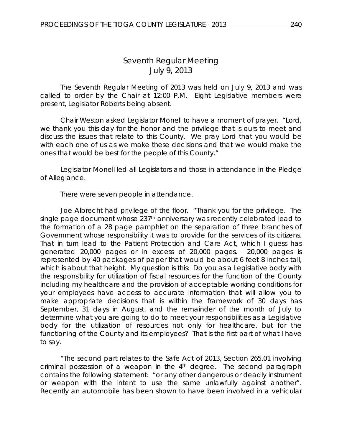# *Seventh Regular Meeting* July 9, 2013

The Seventh Regular Meeting of 2013 was held on July 9, 2013 and was called to order by the Chair at 12:00 P.M. Eight Legislative members were present, Legislator Roberts being absent.

Chair Weston asked Legislator Monell to have a moment of prayer. "Lord, we thank you this day for the honor and the privilege that is ours to meet and discuss the issues that relate to this County. We pray Lord that you would be with each one of us as we make these decisions and that we would make the ones that would be best for the people of this County."

Legislator Monell led all Legislators and those in attendance in the Pledge of Allegiance.

There were seven people in attendance.

Joe Albrecht had privilege of the floor. "Thank you for the privilege. The single page document whose 237<sup>th</sup> anniversary was recently celebrated lead to the formation of a 28 page pamphlet on the separation of three branches of Government whose responsibility it was to provide for the services of its citizens. That in turn lead to the Patient Protection and Care Act, which I guess has generated 20,000 pages or in excess of 20,000 pages. 20,000 pages is represented by 40 packages of paper that would be about 6 feet 8 inches tall, which is about that height. My question is this: Do you as a Legislative body with the responsibility for utilization of fiscal resources for the function of the County including my healthcare and the provision of acceptable working conditions for your employees have access to accurate information that will allow you to make appropriate decisions that is within the framework of 30 days has September, 31 days in August, and the remainder of the month of July to determine what you are going to do to meet your responsibilities as a Legislative body for the utilization of resources not only for healthcare, but for the functioning of the County and its employees? That is the first part of what I have to say.

"The second part relates to the Safe Act of 2013, Section 265.01 involving criminal possession of a weapon in the 4th degree. The second paragraph contains the following statement: "or any other dangerous or deadly instrument or weapon with the intent to use the same unlawfully against another". Recently an automobile has been shown to have been involved in a vehicular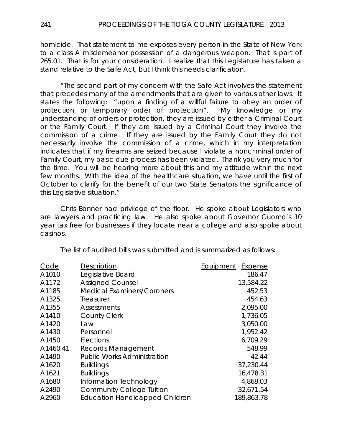homicide. That statement to me exposes every person in the State of New York to a class A misdemeanor possession of a dangerous weapon. That is part of 265.01. That is for your consideration. I realize that this Legislature has taken a stand relative to the Safe Act, but I think this needs clarification.

"The second part of my concern with the Safe Act involves the statement that precedes many of the amendments that are given to various other laws. It states the following: "upon a finding of a willful failure to obey an order of protection or temporary order of protection". My knowledge or my understanding of orders or protection, they are issued by either a Criminal Court or the Family Court. If they are issued by a Criminal Court they involve the commission of a crime. If they are issued by the Family Court they do not necessarily involve the commission of a crime, which in my interpretation indicates that if my firearms are seized because I violate a noncriminal order of Family Court, my basic due process has been violated. Thank you very much for the time. You will be hearing more about this and my attitude within the next few months. With the idea of the healthcare situation, we have until the first of October to clarify for the benefit of our two State Senators the significance of this Legislative situation."

Chris Bonner had privilege of the floor. He spoke about Legislators who are lawyers and practicing law. He also spoke about Governor Cuomo's 10 year tax free for businesses if they locate near a college and also spoke about casinos.

The list of audited bills was submitted and is summarized as follows:

| Description                           | Equipment<br>Expense |
|---------------------------------------|----------------------|
| Legislative Board                     | 186.47               |
| <b>Assigned Counsel</b>               | 13,584.22            |
| <b>Medical Examiners/Coroners</b>     | 452.53               |
| Treasurer                             | 454.63               |
| <b>Assessments</b>                    | 2,095.00             |
| <b>County Clerk</b>                   | 1,736.05             |
| Law                                   | 3,050.00             |
| Personnel                             | 1,952.42             |
| Elections                             | 6,709.29             |
| Records Management                    | 548.99               |
| <b>Public Works Administration</b>    | 42.44                |
| <b>Buildings</b>                      | 37,230.44            |
| <b>Buildings</b>                      | 16,478.31            |
| Information Technology                | 4,868.03             |
| <b>Community College Tuition</b>      | 32,671.54            |
| <b>Education Handicapped Children</b> | 189,863.78           |
|                                       |                      |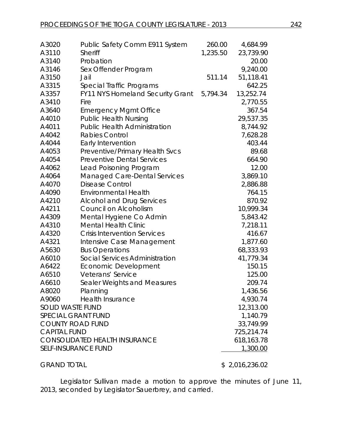| A3020                                | <b>Public Safety Comm E911 System</b> | 260.00   | 4,684.99       |
|--------------------------------------|---------------------------------------|----------|----------------|
| A3110                                | <b>Sheriff</b>                        | 1,235.50 | 23,739.90      |
| A3140                                | Probation                             |          | 20.00          |
| A3146                                | Sex Offender Program                  |          | 9,240.00       |
| A3150                                | Jail                                  | 511.14   | 51,118.41      |
| A3315                                | Special Traffic Programs              |          | 642.25         |
| A3357                                | FY11 NYS Homeland Security Grant      | 5,794.34 | 13,252.74      |
| A3410                                | Fire                                  |          | 2,770.55       |
| A3640                                | <b>Emergency Mgmt Office</b>          |          | 367.54         |
| A4010                                | <b>Public Health Nursing</b>          |          | 29,537.35      |
| A4011                                | <b>Public Health Administration</b>   |          | 8,744.92       |
| A4042                                | <b>Rabies Control</b>                 |          | 7,628.28       |
| A4044                                | Early Intervention                    |          | 403.44         |
| A4053                                | Preventive/Primary Health Svcs        |          | 89.68          |
| A4054                                | <b>Preventive Dental Services</b>     |          | 664.90         |
| A4062                                | Lead Poisoning Program                |          | 12.00          |
| A4064                                | <b>Managed Care-Dental Services</b>   |          | 3,869.10       |
| A4070                                | <b>Disease Control</b>                |          | 2,886.88       |
| A4090                                | <b>Environmental Health</b>           |          | 764.15         |
| A4210                                | <b>Alcohol and Drug Services</b>      |          | 870.92         |
| A4211                                | Council on Alcoholism                 |          | 10,999.34      |
| A4309                                | Mental Hygiene Co Admin               |          | 5,843.42       |
| A4310                                | <b>Mental Health Clinic</b>           |          | 7,218.11       |
| A4320                                | <b>Crisis Intervention Services</b>   |          | 416.67         |
| A4321                                | Intensive Case Management             |          | 1,877.60       |
| A5630                                | <b>Bus Operations</b>                 |          | 68,333.93      |
| A6010                                | Social Services Administration        |          | 41,779.34      |
| A6422                                | Economic Development                  |          | 150.15         |
| A6510                                | Veterans' Service                     |          | 125.00         |
| A6610                                | Sealer Weights and Measures           |          | 209.74         |
|                                      | A8020 Planning                        |          | 1,436.56       |
| A9060                                | Health Insurance                      |          | 4,930.74       |
| <b>SOLID WASTE FUND</b>              |                                       |          | 12,313.00      |
| <b>SPECIAL GRANT FUND</b>            |                                       |          | 1,140.79       |
| <b>COUNTY ROAD FUND</b>              |                                       |          | 33,749.99      |
| <b>CAPITAL FUND</b>                  |                                       |          | 725,214.74     |
| <b>CONSOLIDATED HEALTH INSURANCE</b> |                                       |          | 618,163.78     |
|                                      | <b>SELF-INSURANCE FUND</b>            |          | 1,300.00       |
| <b>GRAND TOTAL</b>                   |                                       |          | \$2,016,236.02 |

Legislator Sullivan made a motion to approve the minutes of June 11, 2013, seconded by Legislator Sauerbrey, and carried.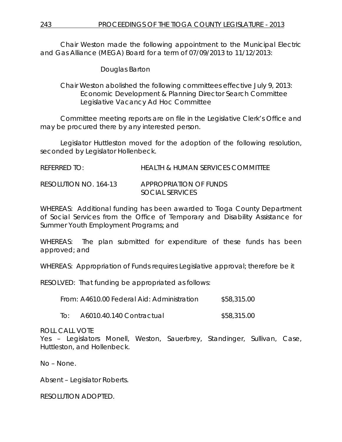Chair Weston made the following appointment to the Municipal Electric and Gas Alliance (MEGA) Board for a term of 07/09/2013 to 11/12/2013:

Douglas Barton

Chair Weston abolished the following committees effective July 9, 2013: Economic Development & Planning Director Search Committee Legislative Vacancy Ad Hoc Committee

Committee meeting reports are on file in the Legislative Clerk's Office and may be procured there by any interested person.

Legislator Huttleston moved for the adoption of the following resolution, seconded by Legislator Hollenbeck.

| REFERRED TO:          | <b>HEALTH &amp; HUMAN SERVICES COMMITTEE</b> |
|-----------------------|----------------------------------------------|
| RESOLUTION NO. 164-13 | APPROPRIATION OF FUNDS<br>SOCIAL SERVICES    |

WHEREAS: Additional funding has been awarded to Tioga County Department of Social Services from the Office of Temporary and Disability Assistance for Summer Youth Employment Programs; and

WHEREAS: The plan submitted for expenditure of these funds has been approved; and

WHEREAS: Appropriation of Funds requires Legislative approval; therefore be it

RESOLVED: That funding be appropriated as follows:

From: A4610.00 Federal Aid: Administration \$58,315.00

To: A6010.40.140 Contractual \$58,315.00

#### ROLL CALL VOTE

Yes – Legislators Monell, Weston, Sauerbrey, Standinger, Sullivan, Case, Huttleston, and Hollenbeck.

No – None.

Absent – Legislator Roberts.

RESOLUTION ADOPTED.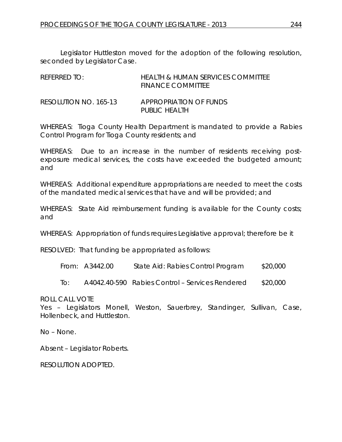Legislator Huttleston moved for the adoption of the following resolution, seconded by Legislator Case.

| REFERRED TO:          | HEALTH & HUMAN SERVICES COMMITTEE<br><b>FINANCE COMMITTEE</b> |
|-----------------------|---------------------------------------------------------------|
| RESOLUTION NO. 165-13 | APPROPRIATION OF FUNDS<br>PUBLIC HEALTH                       |

WHEREAS: Tioga County Health Department is mandated to provide a Rabies Control Program for Tioga County residents; and

WHEREAS: Due to an increase in the number of residents receiving postexposure medical services, the costs have exceeded the budgeted amount; and

WHEREAS: Additional expenditure appropriations are needed to meet the costs of the mandated medical services that have and will be provided; and

WHEREAS: State Aid reimbursement funding is available for the County costs; and

WHEREAS: Appropriation of funds requires Legislative approval; therefore be it

RESOLVED: That funding be appropriated as follows:

| From: A3442.00<br>\$20,000<br>State Aid: Rabies Control Program |
|-----------------------------------------------------------------|
|                                                                 |

To: A4042.40-590 Rabies Control – Services Rendered \$20,000

ROLL CALL VOTE

Yes – Legislators Monell, Weston, Sauerbrey, Standinger, Sullivan, Case, Hollenbeck, and Huttleston.

No – None.

Absent – Legislator Roberts.

RESOLUTION ADOPTED.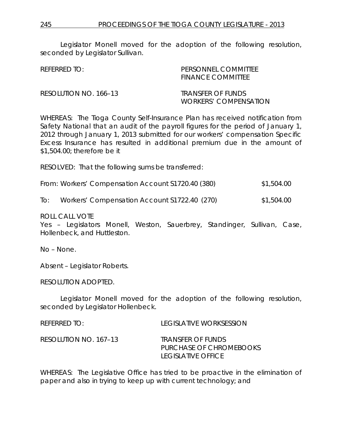Legislator Monell moved for the adoption of the following resolution, seconded by Legislator Sullivan.

| REFERRED TO:          | PERSONNEL COMMITTEE<br><b>FINANCE COMMITTEE</b>   |
|-----------------------|---------------------------------------------------|
| RESOLUTION NO. 166–13 | TRANSFER OF FUNDS<br><i>WORKERS' COMPENSATION</i> |

WHEREAS: The Tioga County Self-Insurance Plan has received notification from Safety National that an audit of the payroll figures for the period of January 1, 2012 through January 1, 2013 submitted for our workers' compensation Specific Excess Insurance has resulted in additional premium due in the amount of \$1,504.00; therefore be it

RESOLVED: That the following sums be transferred:

|  |  | From: Workers' Compensation Account \$1720.40 (380) | \$1,504.00 |
|--|--|-----------------------------------------------------|------------|
|--|--|-----------------------------------------------------|------------|

To: Workers' Compensation Account S1722.40 (270) \$1,504.00

ROLL CALL VOTE

Yes – Legislators Monell, Weston, Sauerbrey, Standinger, Sullivan, Case, Hollenbeck, and Huttleston.

No – None.

Absent – Legislator Roberts.

RESOLUTION ADOPTED.

Legislator Monell moved for the adoption of the following resolution, seconded by Legislator Hollenbeck.

| REFERRED TO:          | TEGISLATIVE WORKSESSION                                            |
|-----------------------|--------------------------------------------------------------------|
| RESOLUTION NO. 167–13 | TRANSFER OF FUNDS<br>PURCHASE OF CHROMEBOOKS<br>LEGISLATIVE OFFICE |

WHEREAS: The Legislative Office has tried to be proactive in the elimination of paper and also in trying to keep up with current technology; and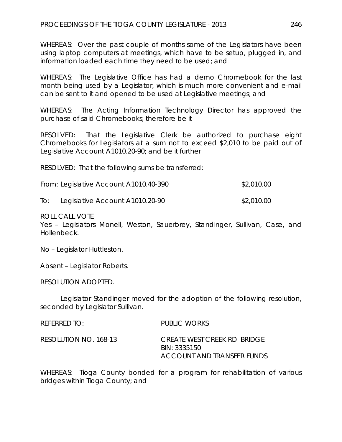WHEREAS: Over the past couple of months some of the Legislators have been using laptop computers at meetings, which have to be setup, plugged in, and information loaded each time they need to be used; and

WHEREAS: The Legislative Office has had a demo Chromebook for the last month being used by a Legislator, which is much more convenient and e-mail can be sent to it and opened to be used at Legislative meetings; and

WHEREAS: The Acting Information Technology Director has approved the purchase of said Chromebooks; therefore be it

RESOLVED: That the Legislative Clerk be authorized to purchase eight Chromebooks for Legislators at a sum not to exceed \$2,010 to be paid out of Legislative Account A1010.20-90; and be it further

RESOLVED: That the following sums be transferred:

|     | From: Legislative Account A1010.40-390 | \$2,010.00 |
|-----|----------------------------------------|------------|
| To: | Legislative Account A1010.20-90        | \$2,010.00 |

ROLL CALL VOTE

Yes – Legislators Monell, Weston, Sauerbrey, Standinger, Sullivan, Case, and Hollenbeck.

No – Legislator Huttleston.

Absent – Legislator Roberts.

RESOLUTION ADOPTED.

Legislator Standinger moved for the adoption of the following resolution, seconded by Legislator Sullivan.

| referred to:          | PUBLIC WORKS                                                              |
|-----------------------|---------------------------------------------------------------------------|
| RESOLUTION NO. 168-13 | CREATE WEST CREEK RD BRIDGE<br>BIN: 3335150<br>ACCOUNT AND TRANSFER FUNDS |

WHEREAS: Tioga County bonded for a program for rehabilitation of various bridges within Tioga County; and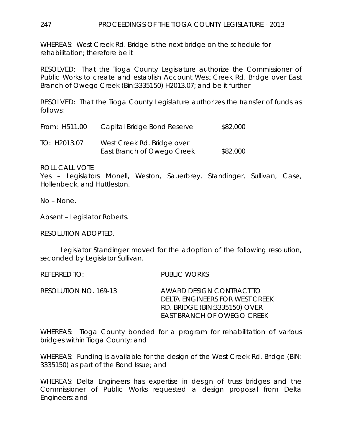WHEREAS: West Creek Rd. Bridge is the next bridge on the schedule for rehabilitation; therefore be it

RESOLVED: That the Tioga County Legislature authorize the Commissioner of Public Works to create and establish Account West Creek Rd. Bridge over East Branch of Owego Creek (Bin:3335150) H2013.07; and be it further

RESOLVED: That the Tioga County Legislature authorizes the transfer of funds as follows:

| From: H511.00 | Capital Bridge Bond Reserve | \$82,000 |
|---------------|-----------------------------|----------|
| TO: H2013.07  | West Creek Rd. Bridge over  |          |
|               | East Branch of Owego Creek  | \$82,000 |

### ROLL CALL VOTE

Yes – Legislators Monell, Weston, Sauerbrey, Standinger, Sullivan, Case, Hollenbeck, and Huttleston.

No – None.

Absent – Legislator Roberts.

RESOLUTION ADOPTED.

Legislator Standinger moved for the adoption of the following resolution, seconded by Legislator Sullivan.

REFERRED TO: PUBLIC WORKS

RESOLUTION NO. 169-13 *AWARD DESIGN CONTRACT TO DELTA ENGINEERS FOR WEST CREEK RD. BRIDGE (BIN:3335150) OVER EAST BRANCH OF OWEGO CREEK*

WHEREAS: Tioga County bonded for a program for rehabilitation of various bridges within Tioga County; and

WHEREAS: Funding is available for the design of the West Creek Rd. Bridge (BIN: 3335150) as part of the Bond Issue; and

WHEREAS: Delta Engineers has expertise in design of truss bridges and the Commissioner of Public Works requested a design proposal from Delta Engineers; and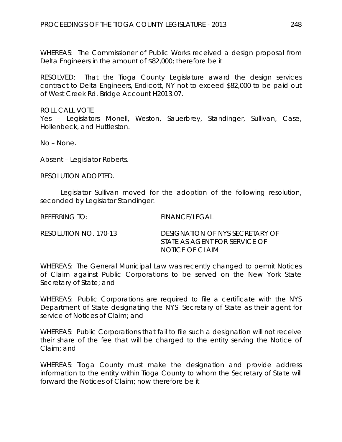WHEREAS: The Commissioner of Public Works received a design proposal from Delta Engineers in the amount of \$82,000; therefore be it

RESOLVED: That the Tioga County Legislature award the design services contract to Delta Engineers, Endicott, NY not to exceed \$82,000 to be paid out of West Creek Rd. Bridge Account H2013.07.

ROLL CALL VOTE Yes – Legislators Monell, Weston, Sauerbrey, Standinger, Sullivan, Case, Hollenbeck, and Huttleston.

No – None.

Absent – Legislator Roberts.

RESOLUTION ADOPTED.

Legislator Sullivan moved for the adoption of the following resolution, seconded by Legislator Standinger.

REFERRING TO: FINANCE/LEGAL

| RESOLUTION NO. 170-13 | DESIGNATION OF NYS SECRETARY OF |
|-----------------------|---------------------------------|
|                       | STATE AS AGENT FOR SERVICE OF   |
|                       | <b>NOTICE OF CLAIM</b>          |

WHEREAS: The General Municipal Law was recently changed to permit Notices of Claim against Public Corporations to be served on the New York State Secretary of State; and

WHEREAS: Public Corporations are required to file a certificate with the NYS Department of State designating the NYS Secretary of State as their agent for service of Notices of Claim; and

WHEREAS: Public Corporations that fail to file such a designation will not receive their share of the fee that will be charged to the entity serving the Notice of Claim; and

WHEREAS: Tioga County must make the designation and provide address information to the entity within Tioga County to whom the Secretary of State will forward the Notices of Claim; now therefore be it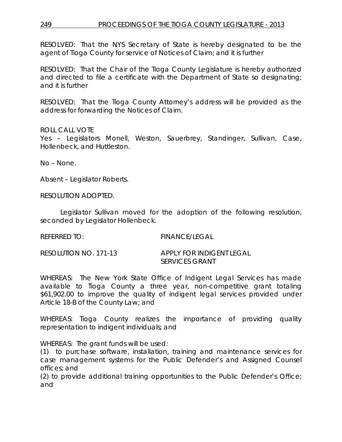# 249 PROCEEDINGS OF THE TIOGA COUNTY LEGISLATURE - 2013

RESOLVED: That the NYS Secretary of State is hereby designated to be the agent of Tioga County for service of Notices of Claim; and it is further

RESOLVED: That the Chair of the Tioga County Legislature is hereby authorized and directed to file a certificate with the Department of State so designating; and it is further

RESOLVED: That the Tioga County Attorney's address will be provided as the address for forwarding the Notices of Claim.

#### ROLL CALL VOTE

Yes – Legislators Monell, Weston, Sauerbrey, Standinger, Sullivan, Case, Hollenbeck, and Huttleston.

No – None.

Absent – Legislator Roberts.

RESOLUTION ADOPTED.

Legislator Sullivan moved for the adoption of the following resolution, seconded by Legislator Hollenbeck.

REFERRED TO: FINANCE/LEGAL

| RESOLUTION NO. 171-13 | APPLY FOR INDIGENT LEGAL |  |
|-----------------------|--------------------------|--|
|                       | <b>SERVICES GRANT</b>    |  |

WHEREAS: The New York State Office of Indigent Legal Services has made available to Tioga County a three year, non-competitive grant totaling \$61,902.00 to improve the quality of indigent legal services provided under Article 18-B of the County Law; and

WHEREAS: Tioga County realizes the importance of providing quality representation to indigent individuals; and

WHEREAS: The grant funds will be used:

(1) to purchase software, installation, training and maintenance services for case management systems for the Public Defender's and Assigned Counsel offices; and

(2) to provide additional training opportunities to the Public Defender's Office; and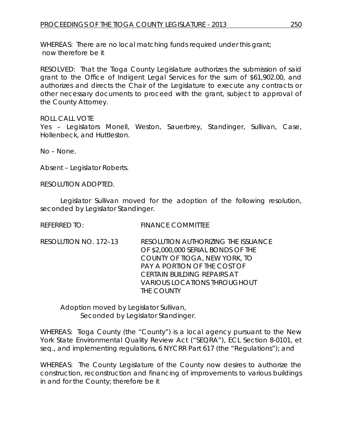WHEREAS: There are no local matching funds required under this grant; now therefore be it

RESOLVED: That the Tioga County Legislature authorizes the submission of said grant to the Office of Indigent Legal Services for the sum of \$61,902.00, and authorizes and directs the Chair of the Legislature to execute any contracts or other necessary documents to proceed with the grant, subject to approval of the County Attorney.

### ROLL CALL VOTE

Yes – Legislators Monell, Weston, Sauerbrey, Standinger, Sullivan, Case, Hollenbeck, and Huttleston.

No – None.

Absent – Legislator Roberts.

RESOLUTION ADOPTED.

Legislator Sullivan moved for the adoption of the following resolution, seconded by Legislator Standinger.

REFERRED TO: FINANCE COMMITTEE

RESOLUTION NO. 172–13 *RESOLUTION AUTHORIZING THE ISSUANCE OF \$2,000,000 SERIAL BONDS OF THE COUNTY OF TIOGA, NEW YORK, TO PAY A PORTION OF THE COST OF CERTAIN BUILDING REPAIRS AT VARIOUS LOCATIONS THROUGHOUT THE COUNTY*

Adoption moved by Legislator Sullivan, Seconded by Legislator Standinger.

WHEREAS: Tioga County (the "County") is a local agency pursuant to the New York State Environmental Quality Review Act ("SEQRA"), ECL Section 8-0101, *et seq.,* and implementing regulations, 6 NYCRR Part 617 (the "Regulations"); and

WHEREAS: The County Legislature of the County now desires to authorize the construction, reconstruction and financing of improvements to various buildings in and for the County; therefore be it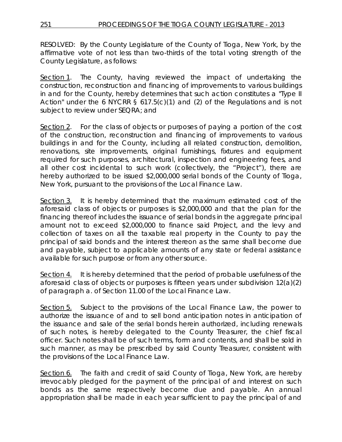RESOLVED: By the County Legislature of the County of Tioga, New York, by the affirmative vote of not less than two-thirds of the total voting strength of the County Legislature, as follows:

Section 1. The County, having reviewed the impact of undertaking the construction, reconstruction and financing of improvements to various buildings in and for the County, hereby determines that such action constitutes a "Type II Action" under the 6 NYCRR  $\S$  617.5(c)(1) and (2) of the Regulations and is not subject to review under SEQRA; and

Section 2. For the class of objects or purposes of paying a portion of the cost of the construction, reconstruction and financing of improvements to various buildings in and for the County, including all related construction, demolition, renovations, site improvements, original furnishings, fixtures and equipment required for such purposes, architectural, inspection and engineering fees, and all other cost incidental to such work (collectively, the "Project"), there are hereby authorized to be issued \$2,000,000 serial bonds of the County of Tioga, New York, pursuant to the provisions of the Local Finance Law.

Section 3. It is hereby determined that the maximum estimated cost of the aforesaid class of objects or purposes is \$2,000,000 and that the plan for the financing thereof includes the issuance of serial bonds in the aggregate principal amount not to exceed \$2,000,000 to finance said Project, and the levy and collection of taxes on all the taxable real property in the County to pay the principal of said bonds and the interest thereon as the same shall become due and payable, subject to applicable amounts of any state or federal assistance available for such purpose or from any other source.

Section 4. It is hereby determined that the period of probable usefulness of the aforesaid class of objects or purposes is fifteen years under subdivision 12(a)(2) of paragraph a. of Section 11.00 of the Local Finance Law.

Section 5. Subject to the provisions of the Local Finance Law, the power to authorize the issuance of and to sell bond anticipation notes in anticipation of the issuance and sale of the serial bonds herein authorized, including renewals of such notes, is hereby delegated to the County Treasurer, the chief fiscal officer. Such notes shall be of such terms, form and contents, and shall be sold in such manner, as may be prescribed by said County Treasurer, consistent with the provisions of the Local Finance Law.

Section 6. The faith and credit of said County of Tioga, New York, are hereby irrevocably pledged for the payment of the principal of and interest on such bonds as the same respectively become due and payable. An annual appropriation shall be made in each year sufficient to pay the principal of and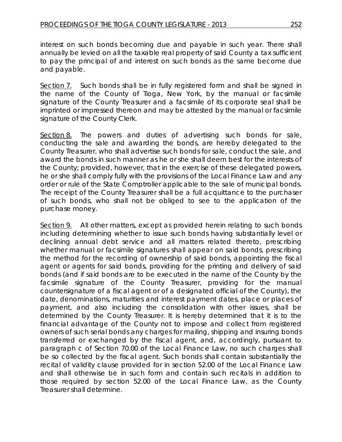interest on such bonds becoming due and payable in such year. There shall annually be levied on all the taxable real property of said County a tax sufficient to pay the principal of and interest on such bonds as the same become due and payable.

Section 7. Such bonds shall be in fully registered form and shall be signed in the name of the County of Tioga, New York, by the manual or facsimile signature of the County Treasurer and a facsimile of its corporate seal shall be imprinted or impressed thereon and may be attested by the manual or facsimile signature of the County Clerk.

Section 8. The powers and duties of advertising such bonds for sale, conducting the sale and awarding the bonds, are hereby delegated to the County Treasurer, who shall advertise such bonds for sale, conduct the sale, and award the bonds in such manner as he or she shall deem best for the interests of the County; provided, however, that in the exercise of these delegated powers, he or she shall comply fully with the provisions of the Local Finance Law and any order or rule of the State Comptroller applicable to the sale of municipal bonds. The receipt of the County Treasurer shall be a full acquittance to the purchaser of such bonds, who shall not be obliged to see to the application of the purchase money.

Section 9. All other matters, except as provided herein relating to such bonds including determining whether to issue such bonds having substantially level or declining annual debt service and all matters related thereto, prescribing whether manual or facsimile signatures shall appear on said bonds, prescribing the method for the recording of ownership of said bonds, appointing the fiscal agent or agents for said bonds, providing for the printing and delivery of said bonds (and if said bonds are to be executed in the name of the County by the facsimile signature of the County Treasurer, providing for the manual countersignature of a fiscal agent or of a designated official of the County), the date, denominations, maturities and interest payment dates, place or places of payment, and also including the consolidation with other issues, shall be determined by the County Treasurer. It is hereby determined that it is to the financial advantage of the County not to impose and collect from registered owners of such serial bonds any charges for mailing, shipping and insuring bonds transferred or exchanged by the fiscal agent, and, accordingly, pursuant to paragraph c of Section 70.00 of the Local Finance Law, no such charges shall be so collected by the fiscal agent. Such bonds shall contain substantially the recital of validity clause provided for in section 52.00 of the Local Finance Law and shall otherwise be in such form and contain such recitals in addition to those required by section 52.00 of the Local Finance Law, as the County Treasurer shall determine.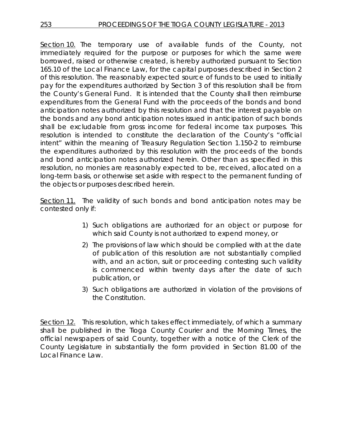Section 10. The temporary use of available funds of the County, not immediately required for the purpose or purposes for which the same were borrowed, raised or otherwise created, is hereby authorized pursuant to Section 165.10 of the Local Finance Law, for the capital purposes described in Section 2 of this resolution. The reasonably expected source of funds to be used to initially pay for the expenditures authorized by Section 3 of this resolution shall be from the County's General Fund. It is intended that the County shall then reimburse expenditures from the General Fund with the proceeds of the bonds and bond anticipation notes authorized by this resolution and that the interest payable on the bonds and any bond anticipation notes issued in anticipation of such bonds shall be excludable from gross income for federal income tax purposes. This resolution is intended to constitute the declaration of the County's "official intent" within the meaning of Treasury Regulation Section 1.150-2 to reimburse the expenditures authorized by this resolution with the proceeds of the bonds and bond anticipation notes authorized herein. Other than as specified in this resolution, no monies are reasonably expected to be, received, allocated on a long-term basis, or otherwise set aside with respect to the permanent funding of the objects or purposes described herein.

Section 11. The validity of such bonds and bond anticipation notes may be contested only if:

- 1) Such obligations are authorized for an object or purpose for which said County is not authorized to expend money, or
- 2) The provisions of law which should be complied with at the date of publication of this resolution are not substantially complied with, and an action, suit or proceeding contesting such validity is commenced within twenty days after the date of such publication, or
- 3) Such obligations are authorized in violation of the provisions of the Constitution.

Section 12. This resolution, which takes effect immediately, of which a summary shall be published in the Tioga County Courier and the Morning Times, the official newspapers of said County, together with a notice of the Clerk of the County Legislature in substantially the form provided in Section 81.00 of the Local Finance Law.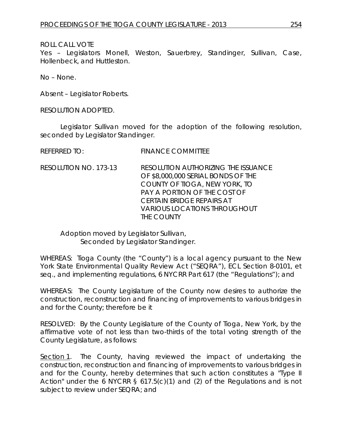# ROLL CALL VOTE

Yes – Legislators Monell, Weston, Sauerbrey, Standinger, Sullivan, Case, Hollenbeck, and Huttleston.

No – None.

Absent – Legislator Roberts.

RESOLUTION ADOPTED.

Legislator Sullivan moved for the adoption of the following resolution, seconded by Legislator Standinger.

REFERRED TO: FINANCE COMMITTEE

RESOLUTION NO. 173-13 *RESOLUTION AUTHORIZING THE ISSUANCE OF \$8,000,000 SERIAL BONDS OF THE COUNTY OF TIOGA, NEW YORK, TO PAY A PORTION OF THE COST OF CERTAIN BRIDGE REPAIRS AT VARIOUS LOCATIONS THROUGHOUT THE COUNTY*

Adoption moved by Legislator Sullivan, Seconded by Legislator Standinger.

WHEREAS: Tioga County (the "County") is a local agency pursuant to the New York State Environmental Quality Review Act ("SEQRA"), ECL Section 8-0101, *et seq.,* and implementing regulations, 6 NYCRR Part 617 (the "Regulations"); and

WHEREAS: The County Legislature of the County now desires to authorize the construction, reconstruction and financing of improvements to various bridges in and for the County; therefore be it

RESOLVED: By the County Legislature of the County of Tioga, New York, by the affirmative vote of not less than two-thirds of the total voting strength of the County Legislature, as follows:

Section 1. The County, having reviewed the impact of undertaking the construction, reconstruction and financing of improvements to various bridges in and for the County, hereby determines that such action constitutes a "Type II Action" under the 6 NYCRR  $\S$  617.5(c)(1) and (2) of the Regulations and is not subject to review under SEQRA; and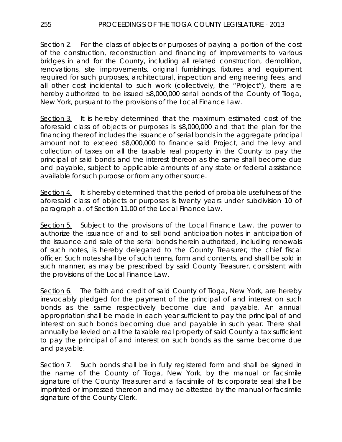Section 2. For the class of objects or purposes of paying a portion of the cost of the construction, reconstruction and financing of improvements to various bridges in and for the County, including all related construction, demolition, renovations, site improvements, original furnishings, fixtures and equipment required for such purposes, architectural, inspection and engineering fees, and all other cost incidental to such work (collectively, the "Project"), there are hereby authorized to be issued \$8,000,000 serial bonds of the County of Tioga, New York, pursuant to the provisions of the Local Finance Law.

Section 3. It is hereby determined that the maximum estimated cost of the aforesaid class of objects or purposes is \$8,000,000 and that the plan for the financing thereof includes the issuance of serial bonds in the aggregate principal amount not to exceed \$8,000,000 to finance said Project, and the levy and collection of taxes on all the taxable real property in the County to pay the principal of said bonds and the interest thereon as the same shall become due and payable, subject to applicable amounts of any state or federal assistance available for such purpose or from any other source.

Section 4. It is hereby determined that the period of probable usefulness of the aforesaid class of objects or purposes is twenty years under subdivision 10 of paragraph a. of Section 11.00 of the Local Finance Law.

Section 5. Subject to the provisions of the Local Finance Law, the power to authorize the issuance of and to sell bond anticipation notes in anticipation of the issuance and sale of the serial bonds herein authorized, including renewals of such notes, is hereby delegated to the County Treasurer, the chief fiscal officer. Such notes shall be of such terms, form and contents, and shall be sold in such manner, as may be prescribed by said County Treasurer, consistent with the provisions of the Local Finance Law.

Section 6. The faith and credit of said County of Tioga, New York, are hereby irrevocably pledged for the payment of the principal of and interest on such bonds as the same respectively become due and payable. An annual appropriation shall be made in each year sufficient to pay the principal of and interest on such bonds becoming due and payable in such year. There shall annually be levied on all the taxable real property of said County a tax sufficient to pay the principal of and interest on such bonds as the same become due and payable.

Section 7. Such bonds shall be in fully registered form and shall be signed in the name of the County of Tioga, New York, by the manual or facsimile signature of the County Treasurer and a facsimile of its corporate seal shall be imprinted or impressed thereon and may be attested by the manual or facsimile signature of the County Clerk.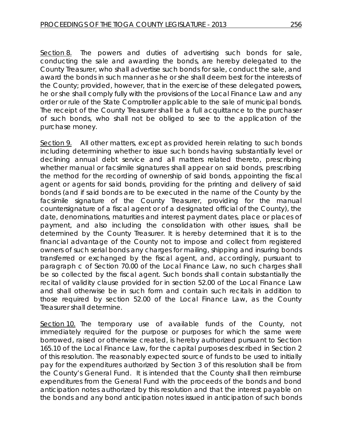Section 8. The powers and duties of advertising such bonds for sale, conducting the sale and awarding the bonds, are hereby delegated to the County Treasurer, who shall advertise such bonds for sale, conduct the sale, and award the bonds in such manner as he or she shall deem best for the interests of the County; provided, however, that in the exercise of these delegated powers, he or she shall comply fully with the provisions of the Local Finance Law and any order or rule of the State Comptroller applicable to the sale of municipal bonds. The receipt of the County Treasurer shall be a full acquittance to the purchaser of such bonds, who shall not be obliged to see to the application of the purchase money.

Section 9. All other matters, except as provided herein relating to such bonds including determining whether to issue such bonds having substantially level or declining annual debt service and all matters related thereto, prescribing whether manual or facsimile signatures shall appear on said bonds, prescribing the method for the recording of ownership of said bonds, appointing the fiscal agent or agents for said bonds, providing for the printing and delivery of said bonds (and if said bonds are to be executed in the name of the County by the facsimile signature of the County Treasurer, providing for the manual countersignature of a fiscal agent or of a designated official of the County), the date, denominations, maturities and interest payment dates, place or places of payment, and also including the consolidation with other issues, shall be determined by the County Treasurer. It is hereby determined that it is to the financial advantage of the County not to impose and collect from registered owners of such serial bonds any charges for mailing, shipping and insuring bonds transferred or exchanged by the fiscal agent, and, accordingly, pursuant to paragraph c of Section 70.00 of the Local Finance Law, no such charges shall be so collected by the fiscal agent. Such bonds shall contain substantially the recital of validity clause provided for in section 52.00 of the Local Finance Law and shall otherwise be in such form and contain such recitals in addition to those required by section 52.00 of the Local Finance Law, as the County Treasurer shall determine.

Section 10. The temporary use of available funds of the County, not immediately required for the purpose or purposes for which the same were borrowed, raised or otherwise created, is hereby authorized pursuant to Section 165.10 of the Local Finance Law, for the capital purposes described in Section 2 of this resolution. The reasonably expected source of funds to be used to initially pay for the expenditures authorized by Section 3 of this resolution shall be from the County's General Fund. It is intended that the County shall then reimburse expenditures from the General Fund with the proceeds of the bonds and bond anticipation notes authorized by this resolution and that the interest payable on the bonds and any bond anticipation notes issued in anticipation of such bonds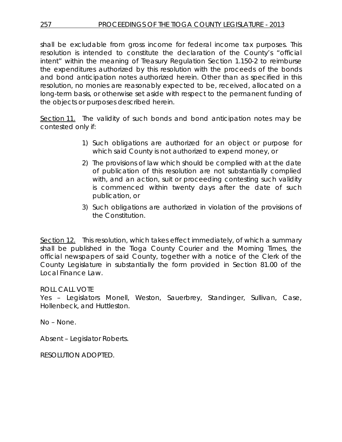shall be excludable from gross income for federal income tax purposes. This resolution is intended to constitute the declaration of the County's "official intent" within the meaning of Treasury Regulation Section 1.150-2 to reimburse the expenditures authorized by this resolution with the proceeds of the bonds and bond anticipation notes authorized herein. Other than as specified in this resolution, no monies are reasonably expected to be, received, allocated on a long-term basis, or otherwise set aside with respect to the permanent funding of the objects or purposes described herein.

Section 11. The validity of such bonds and bond anticipation notes may be contested only if:

- 1) Such obligations are authorized for an object or purpose for which said County is not authorized to expend money, or
- 2) The provisions of law which should be complied with at the date of publication of this resolution are not substantially complied with, and an action, suit or proceeding contesting such validity is commenced within twenty days after the date of such publication, or
- 3) Such obligations are authorized in violation of the provisions of the Constitution.

Section 12. This resolution, which takes effect immediately, of which a summary shall be published in the Tioga County Courier and the Morning Times, the official newspapers of said County, together with a notice of the Clerk of the County Legislature in substantially the form provided in Section 81.00 of the Local Finance Law.

# ROLL CALL VOTE

Yes – Legislators Monell, Weston, Sauerbrey, Standinger, Sullivan, Case, Hollenbeck, and Huttleston.

No – None.

Absent – Legislator Roberts.

RESOLUTION ADOPTED.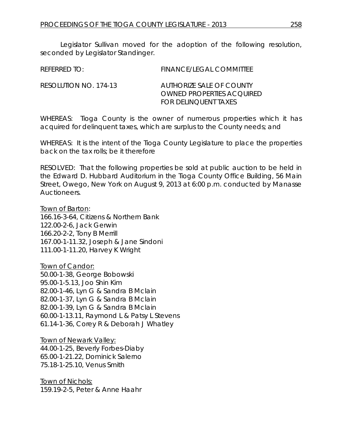Legislator Sullivan moved for the adoption of the following resolution, seconded by Legislator Standinger.

| REFERRED TO:          | FINANCE/LEGAL COMMITTEE                               |
|-----------------------|-------------------------------------------------------|
| RESOLUTION NO. 174-13 | AUTHORIZE SALE OF COUNTY<br>OWNED PROPERTIES ACQUIRED |

WHEREAS: Tioga County is the owner of numerous properties which it has acquired for delinquent taxes, which are surplus to the County needs; and

*FOR DELINQUENT TAXES*

WHEREAS: It is the intent of the Tioga County Legislature to place the properties back on the tax rolls; be it therefore

RESOLVED: That the following properties be sold at public auction to be held in the Edward D. Hubbard Auditorium in the Tioga County Office Building, 56 Main Street, Owego, New York on August 9, 2013 at 6:00 p.m. conducted by Manasse Auctioneers.

Town of Barton: 166.16-3-64, Citizens & Northern Bank 122.00-2-6, Jack Gerwin 166.20-2-2, Tony B Merrill 167.00-1-11.32, Joseph & Jane Sindoni 111.00-1-11.20, Harvey K Wright

Town of Candor: 50.00-1-38, George Bobowski 95.00-1-5.13, Joo Shin Kim 82.00-1-46, Lyn G & Sandra B Mclain 82.00-1-37, Lyn G & Sandra B Mclain 82.00-1-39, Lyn G & Sandra B Mclain 60.00-1-13.11, Raymond L & Patsy L Stevens 61.14-1-36, Corey R & Deborah J Whatley

**Town of Newark Valley:** 44.00-1-25, Beverly Forbes-Diaby 65.00-1-21.22, Dominick Salerno 75.18-1-25.10, Venus Smith

Town of Nichols: 159.19-2-5, Peter & Anne Haahr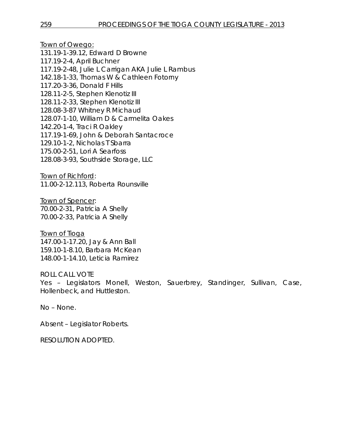Town of Owego: 131.19-1-39.12, Edward D Browne 117.19-2-4, April Buchner 117.19-2-48, Julie L Carrigan AKA Julie L Rambus 142.18-1-33, Thomas W & Cathleen Fotorny 117.20-3-36, Donald F Hills 128.11-2-5, Stephen Klenotiz III 128.11-2-33, Stephen Klenotiz III 128.08-3-87 Whitney R Michaud 128.07-1-10, William D & Carmelita Oakes 142.20-1-4, Traci R Oakley 117.19-1-69, John & Deborah Santacroce 129.10-1-2, Nicholas T Sbarra 175.00-2-51, Lori A Searfoss 128.08-3-93, Southside Storage, LLC

Town of Richford: 11.00-2-12.113, Roberta Rounsville

Town of Spencer: 70.00-2-31, Patricia A Shelly 70.00-2-33, Patricia A Shelly

Town of Tioga 147.00-1-17.20, Jay & Ann Ball 159.10-1-8.10, Barbara McKean 148.00-1-14.10, Leticia Ramirez

ROLL CALL VOTE Yes – Legislators Monell, Weston, Sauerbrey, Standinger, Sullivan, Case, Hollenbeck, and Huttleston.

No – None.

Absent – Legislator Roberts.

RESOLUTION ADOPTED.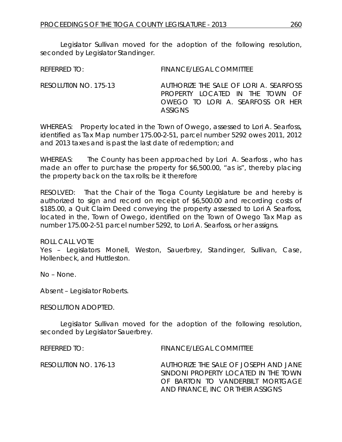Legislator Sullivan moved for the adoption of the following resolution, seconded by Legislator Standinger.

REFERRED TO: FINANCE/LEGAL COMMITTEE

RESOLUTI0N NO. 175-13 *AUTHORIZE THE SALE OF LORI A. SEARFOSS PROPERTY LOCATED IN THE TOWN OF OWEGO TO LORI A. SEARFOSS OR HER ASSIGNS* 

WHEREAS: Property located in the Town of Owego, assessed to Lori A. Searfoss, identified as Tax Map number 175.00-2-51, parcel number 5292 owes 2011, 2012 and 2013 taxes and is past the last date of redemption; and

WHEREAS: The County has been approached by Lori A. Searfoss, who has made an offer to purchase the property for \$6,500.00, "as is", thereby placing the property back on the tax rolls; be it therefore

RESOLVED: That the Chair of the Tioga County Legislature be and hereby is authorized to sign and record on receipt of \$6,500.00 and recording costs of \$185.00, a Quit Claim Deed conveying the property assessed to Lori A Searfoss, located in the, Town of Owego, identified on the Town of Owego Tax Map as number 175.00-2-51 parcel number 5292, to Lori A. Searfoss, or her assigns.

ROLL CALL VOTE

Yes – Legislators Monell, Weston, Sauerbrey, Standinger, Sullivan, Case, Hollenbeck, and Huttleston.

No – None.

Absent – Legislator Roberts.

RESOLUTION ADOPTED.

Legislator Sullivan moved for the adoption of the following resolution, seconded by Legislator Sauerbrey.

REFERRED TO: FINANCE/LEGAL COMMITTEE

RESOLUTI0N NO. 176-13 *AUTHORIZE THE SALE OF JOSEPH AND JANE SINDONI PROPERTY LOCATED IN THE TOWN OF BARTON TO VANDERBILT MORTGAGE AND FINANCE, INC OR THEIR ASSIGNS*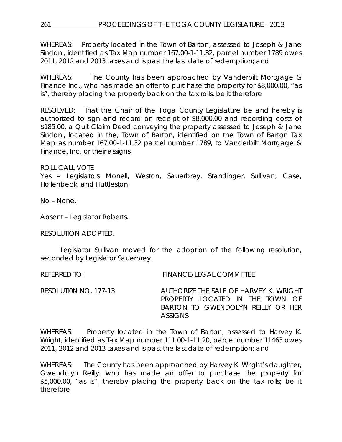WHEREAS: Property located in the Town of Barton, assessed to Joseph & Jane Sindoni, identified as Tax Map number 167.00-1-11.32, parcel number 1789 owes 2011, 2012 and 2013 taxes and is past the last date of redemption; and

WHEREAS: The County has been approached by Vanderbilt Mortgage & Finance Inc., who has made an offer to purchase the property for \$8,000.00, "as is", thereby placing the property back on the tax rolls; be it therefore

RESOLVED: That the Chair of the Tioga County Legislature be and hereby is authorized to sign and record on receipt of \$8,000.00 and recording costs of \$185.00, a Quit Claim Deed conveying the property assessed to Joseph & Jane Sindoni, located in the, Town of Barton, identified on the Town of Barton Tax Map as number 167.00-1-11.32 parcel number 1789, to Vanderbilt Mortgage & Finance, Inc. or their assigns.

### ROLL CALL VOTE

Yes – Legislators Monell, Weston, Sauerbrey, Standinger, Sullivan, Case, Hollenbeck, and Huttleston.

No – None.

Absent – Legislator Roberts.

RESOLUTION ADOPTED.

Legislator Sullivan moved for the adoption of the following resolution, seconded by Legislator Sauerbrey.

REFERRED TO: FINANCE/LEGAL COMMITTEE

RESOLUTI0N NO. 177-13 *AUTHORIZE THE SALE OF HARVEY K. WRIGHT PROPERTY LOCATED IN THE TOWN OF BARTON TO GWENDOLYN REILLY OR HER ASSIGNS* 

WHEREAS: Property located in the Town of Barton, assessed to Harvey K. Wright, identified as Tax Map number 111.00-1-11.20, parcel number 11463 owes 2011, 2012 and 2013 taxes and is past the last date of redemption; and

WHEREAS: The County has been approached by Harvey K. Wright's daughter, Gwendolyn Reilly, who has made an offer to purchase the property for \$5,000.00, "as is", thereby placing the property back on the tax rolls; be it therefore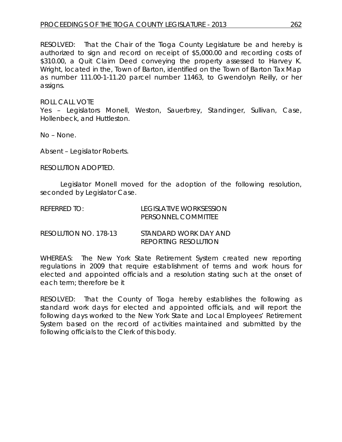RESOLVED: That the Chair of the Tioga County Legislature be and hereby is authorized to sign and record on receipt of \$5,000.00 and recording costs of \$310.00, a Quit Claim Deed conveying the property assessed to Harvey K. Wright, located in the, Town of Barton, identified on the Town of Barton Tax Map as number 111.00-1-11.20 parcel number 11463, to Gwendolyn Reilly, or her assigns.

#### ROLL CALL VOTE

Yes – Legislators Monell, Weston, Sauerbrey, Standinger, Sullivan, Case, Hollenbeck, and Huttleston.

No – None.

Absent – Legislator Roberts.

RESOLUTION ADOPTED.

Legislator Monell moved for the adoption of the following resolution, seconded by Legislator Case.

| REFERRED TO: | LEGISLATIVE WORKSESSION |
|--------------|-------------------------|
|              | PERSONNEL COMMITTEE     |

| RESOLUTION NO. 178-13 | STANDARD WORK DAY AND       |
|-----------------------|-----------------------------|
|                       | <b>REPORTING RESOLUTION</b> |

WHEREAS: The New York State Retirement System created new reporting regulations in 2009 that require establishment of terms and work hours for elected and appointed officials and a resolution stating such at the onset of each term; therefore be it

RESOLVED: That the County of Tioga hereby establishes the following as standard work days for elected and appointed officials, and will report the following days worked to the New York State and Local Employees' Retirement System based on the record of activities maintained and submitted by the following officials to the Clerk of this body.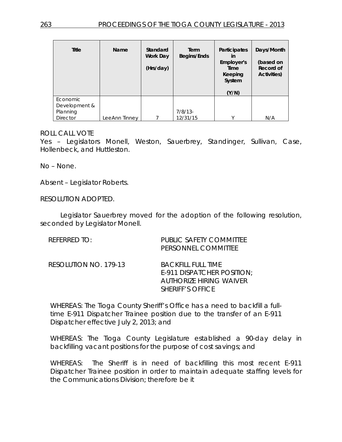| Title                                                    | Name          | Standard<br>Work Day<br>(Hrs/day) | Term<br>Begins/Ends    | <b>Participates</b><br>in<br>Employer's<br>Time<br>Keeping<br>System<br>(Y/N) | Days/Month<br>(based on<br>Record of<br><b>Activities)</b> |
|----------------------------------------------------------|---------------|-----------------------------------|------------------------|-------------------------------------------------------------------------------|------------------------------------------------------------|
| Economic<br>Development &<br>Planning<br><b>Director</b> | LeeAnn Tinnev |                                   | $7/8/13$ -<br>12/31/15 | $\vee$                                                                        | N/A                                                        |

### ROLL CALL VOTE

Yes – Legislators Monell, Weston, Sauerbrey, Standinger, Sullivan, Case, Hollenbeck, and Huttleston.

No – None.

Absent – Legislator Roberts.

RESOLUTION ADOPTED.

Legislator Sauerbrey moved for the adoption of the following resolution, seconded by Legislator Monell.

| REFERRED TO:          | PUBLIC SAFETY COMMITTEE<br>PERSONNEL COMMITTEE                                                                       |
|-----------------------|----------------------------------------------------------------------------------------------------------------------|
| RESOLUTION NO. 179-13 | <b>BACKFILL FULL TIME</b><br>E-911 DISPATCHER POSITION;<br><b>AUTHORIZE HIRING WAIVER</b><br><b>SHERIFF'S OFFICE</b> |

WHEREAS: The Tioga County Sheriff's Office has a need to backfill a fulltime E-911 Dispatcher Trainee position due to the transfer of an E-911 Dispatcher effective July 2, 2013; and

WHEREAS: The Tioga County Legislature established a 90-day delay in backfilling vacant positions for the purpose of cost savings; and

WHEREAS: The Sheriff is in need of backfilling this most recent E-911 Dispatcher Trainee position in order to maintain adequate staffing levels for the Communications Division; therefore be it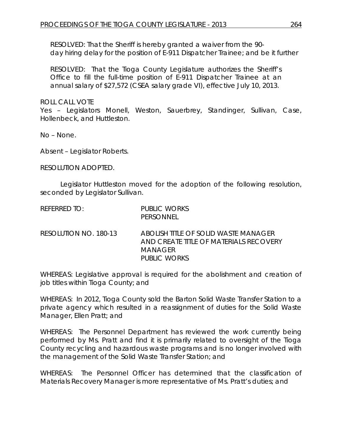RESOLVED: That the Sheriff is hereby granted a waiver from the 90 day hiring delay for the position of E-911 Dispatcher Trainee; and be it further

RESOLVED: That the Tioga County Legislature authorizes the Sheriff's Office to fill the full-time position of E-911 Dispatcher Trainee at an annual salary of \$27,572 (CSEA salary grade VI), effective July 10, 2013.

ROLL CALL VOTE

Yes – Legislators Monell, Weston, Sauerbrey, Standinger, Sullivan, Case, Hollenbeck, and Huttleston.

No – None.

Absent – Legislator Roberts.

RESOLUTION ADOPTED.

Legislator Huttleston moved for the adoption of the following resolution, seconded by Legislator Sullivan.

| REFERRED TO:          | PUBLIC WORKS<br>PERSONNEL                                                                                        |
|-----------------------|------------------------------------------------------------------------------------------------------------------|
| RESOLUTION NO. 180-13 | ABOLISH TITLE OF SOLID WASTE MANAGER<br>AND CREATE TITLE OF MATERIALS RECOVERY<br>MANAGFR<br><b>PUBLIC WORKS</b> |

WHEREAS: Legislative approval is required for the abolishment and creation of job titles within Tioga County; and

WHEREAS: In 2012, Tioga County sold the Barton Solid Waste Transfer Station to a private agency which resulted in a reassignment of duties for the Solid Waste Manager, Ellen Pratt; and

WHEREAS: The Personnel Department has reviewed the work currently being performed by Ms. Pratt and find it is primarily related to oversight of the Tioga County recycling and hazardous waste programs and is no longer involved with the management of the Solid Waste Transfer Station; and

WHEREAS: The Personnel Officer has determined that the classification of Materials Recovery Manager is more representative of Ms. Pratt's duties; and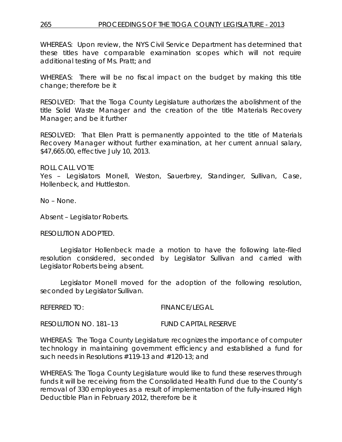## 265 PROCEEDINGS OF THE TIOGA COUNTY LEGISLATURE - 2013

WHEREAS: Upon review, the NYS Civil Service Department has determined that these titles have comparable examination scopes which will not require additional testing of Ms. Pratt; and

WHEREAS: There will be no fiscal impact on the budget by making this title change; therefore be it

RESOLVED: That the Tioga County Legislature authorizes the abolishment of the title Solid Waste Manager and the creation of the title Materials Recovery Manager; and be it further

RESOLVED: That Ellen Pratt is permanently appointed to the title of Materials Recovery Manager without further examination, at her current annual salary, \$47,665.00, effective July 10, 2013.

ROLL CALL VOTE

Yes – Legislators Monell, Weston, Sauerbrey, Standinger, Sullivan, Case, Hollenbeck, and Huttleston.

No – None.

Absent – Legislator Roberts.

RESOLUTION ADOPTED.

Legislator Hollenbeck made a motion to have the following late-filed resolution considered, seconded by Legislator Sullivan and carried with Legislator Roberts being absent.

Legislator Monell moved for the adoption of the following resolution, seconded by Legislator Sullivan.

REFERRED TO: FINANCE/LEGAL

RESOLUTION NO. 181–13 *FUND CAPITAL RESERVE*

WHEREAS: The Tioga County Legislature recognizes the importance of computer technology in maintaining government efficiency and established a fund for such needs in Resolutions #119-13 and #120-13; and

WHEREAS: The Tioga County Legislature would like to fund these reserves through funds it will be receiving from the Consolidated Health Fund due to the County's removal of 330 employees as a result of implementation of the fully-insured High Deductible Plan in February 2012, therefore be it